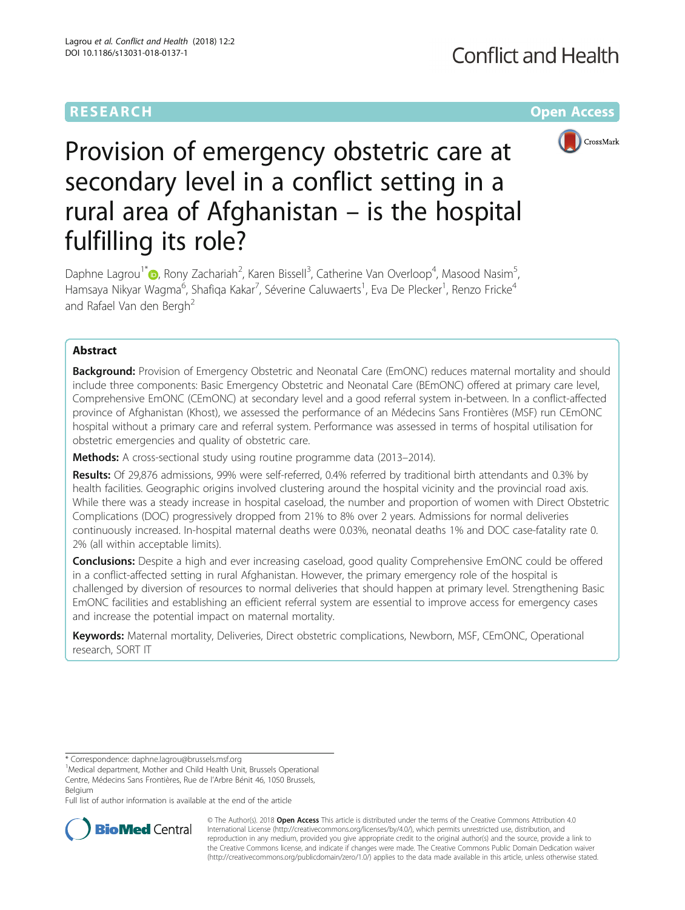# **RESEARCH CHEAR CHEAR CHEAR CHEAR CHEAR CHEAR CHEAR CHEAR CHEAR CHEAR CHEAR CHEAR CHEAR CHEAR CHEAR CHEAR CHEAR**



# Provision of emergency obstetric care at secondary level in a conflict setting in a rural area of Afghanistan – is the hospital fulfilling its role?

Daphne Lagrou<sup>1\*</sup> (b[,](http://orcid.org/0000-0002-1725-3798) Rony Zachariah<sup>2</sup>, Karen Bissell<sup>3</sup>, Catherine Van Overloop<sup>4</sup>, Masood Nasim<sup>5</sup> , Hamsaya Nikyar Wagma<sup>6</sup>, Shafiqa Kakar<sup>7</sup>, Séverine Caluwaerts<sup>1</sup>, Eva De Plecker<sup>1</sup>, Renzo Fricke<sup>4</sup> and Rafael Van den Bergh<sup>2</sup>

## Abstract

**Background:** Provision of Emergency Obstetric and Neonatal Care (EmONC) reduces maternal mortality and should include three components: Basic Emergency Obstetric and Neonatal Care (BEmONC) offered at primary care level, Comprehensive EmONC (CEmONC) at secondary level and a good referral system in-between. In a conflict-affected province of Afghanistan (Khost), we assessed the performance of an Médecins Sans Frontières (MSF) run CEmONC hospital without a primary care and referral system. Performance was assessed in terms of hospital utilisation for obstetric emergencies and quality of obstetric care.

Methods: A cross-sectional study using routine programme data (2013–2014).

Results: Of 29,876 admissions, 99% were self-referred, 0.4% referred by traditional birth attendants and 0.3% by health facilities. Geographic origins involved clustering around the hospital vicinity and the provincial road axis. While there was a steady increase in hospital caseload, the number and proportion of women with Direct Obstetric Complications (DOC) progressively dropped from 21% to 8% over 2 years. Admissions for normal deliveries continuously increased. In-hospital maternal deaths were 0.03%, neonatal deaths 1% and DOC case-fatality rate 0. 2% (all within acceptable limits).

**Conclusions:** Despite a high and ever increasing caseload, good quality Comprehensive EmONC could be offered in a conflict-affected setting in rural Afghanistan. However, the primary emergency role of the hospital is challenged by diversion of resources to normal deliveries that should happen at primary level. Strengthening Basic EmONC facilities and establishing an efficient referral system are essential to improve access for emergency cases and increase the potential impact on maternal mortality.

Keywords: Maternal mortality, Deliveries, Direct obstetric complications, Newborn, MSF, CEmONC, Operational research, SORT IT

\* Correspondence: [daphne.lagrou@brussels.msf.org](mailto:daphne.lagrou@brussels.msf.org) <sup>1</sup>

Full list of author information is available at the end of the article



© The Author(s). 2018 Open Access This article is distributed under the terms of the Creative Commons Attribution 4.0 International License [\(http://creativecommons.org/licenses/by/4.0/](http://creativecommons.org/licenses/by/4.0/)), which permits unrestricted use, distribution, and reproduction in any medium, provided you give appropriate credit to the original author(s) and the source, provide a link to the Creative Commons license, and indicate if changes were made. The Creative Commons Public Domain Dedication waiver [\(http://creativecommons.org/publicdomain/zero/1.0/](http://creativecommons.org/publicdomain/zero/1.0/)) applies to the data made available in this article, unless otherwise stated.

<sup>&</sup>lt;sup>1</sup>Medical department, Mother and Child Health Unit, Brussels Operational Centre, Médecins Sans Frontières, Rue de l'Arbre Bénit 46, 1050 Brussels, Belgium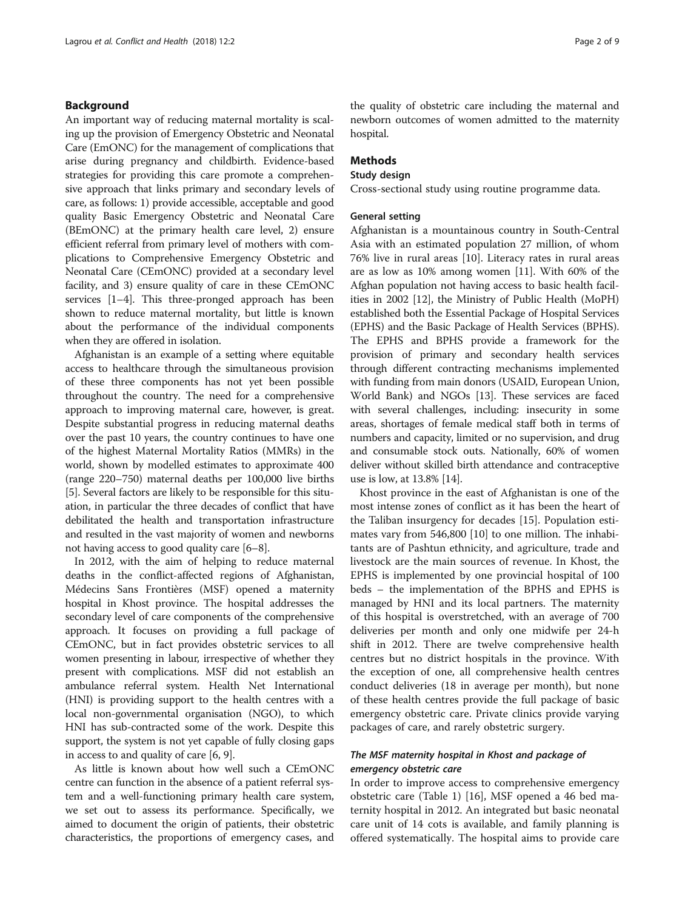## Background

An important way of reducing maternal mortality is scaling up the provision of Emergency Obstetric and Neonatal Care (EmONC) for the management of complications that arise during pregnancy and childbirth. Evidence-based strategies for providing this care promote a comprehensive approach that links primary and secondary levels of care, as follows: 1) provide accessible, acceptable and good quality Basic Emergency Obstetric and Neonatal Care (BEmONC) at the primary health care level, 2) ensure efficient referral from primary level of mothers with complications to Comprehensive Emergency Obstetric and Neonatal Care (CEmONC) provided at a secondary level facility, and 3) ensure quality of care in these CEmONC services [[1](#page-8-0)–[4](#page-8-0)]. This three-pronged approach has been shown to reduce maternal mortality, but little is known about the performance of the individual components when they are offered in isolation.

Afghanistan is an example of a setting where equitable access to healthcare through the simultaneous provision of these three components has not yet been possible throughout the country. The need for a comprehensive approach to improving maternal care, however, is great. Despite substantial progress in reducing maternal deaths over the past 10 years, the country continues to have one of the highest Maternal Mortality Ratios (MMRs) in the world, shown by modelled estimates to approximate 400 (range 220–750) maternal deaths per 100,000 live births [[5\]](#page-8-0). Several factors are likely to be responsible for this situation, in particular the three decades of conflict that have debilitated the health and transportation infrastructure and resulted in the vast majority of women and newborns not having access to good quality care [\[6](#page-8-0)–[8](#page-8-0)].

In 2012, with the aim of helping to reduce maternal deaths in the conflict-affected regions of Afghanistan, Médecins Sans Frontières (MSF) opened a maternity hospital in Khost province. The hospital addresses the secondary level of care components of the comprehensive approach. It focuses on providing a full package of CEmONC, but in fact provides obstetric services to all women presenting in labour, irrespective of whether they present with complications. MSF did not establish an ambulance referral system. Health Net International (HNI) is providing support to the health centres with a local non-governmental organisation (NGO), to which HNI has sub-contracted some of the work. Despite this support, the system is not yet capable of fully closing gaps in access to and quality of care [[6, 9](#page-8-0)].

As little is known about how well such a CEmONC centre can function in the absence of a patient referral system and a well-functioning primary health care system, we set out to assess its performance. Specifically, we aimed to document the origin of patients, their obstetric characteristics, the proportions of emergency cases, and the quality of obstetric care including the maternal and newborn outcomes of women admitted to the maternity hospital.

## **Methods**

## Study design

Cross-sectional study using routine programme data.

#### General setting

Afghanistan is a mountainous country in South-Central Asia with an estimated population 27 million, of whom 76% live in rural areas [[10\]](#page-8-0). Literacy rates in rural areas are as low as 10% among women [[11](#page-8-0)]. With 60% of the Afghan population not having access to basic health facilities in 2002 [\[12\]](#page-8-0), the Ministry of Public Health (MoPH) established both the Essential Package of Hospital Services (EPHS) and the Basic Package of Health Services (BPHS). The EPHS and BPHS provide a framework for the provision of primary and secondary health services through different contracting mechanisms implemented with funding from main donors (USAID, European Union, World Bank) and NGOs [[13](#page-8-0)]. These services are faced with several challenges, including: insecurity in some areas, shortages of female medical staff both in terms of numbers and capacity, limited or no supervision, and drug and consumable stock outs. Nationally, 60% of women deliver without skilled birth attendance and contraceptive use is low, at 13.8% [\[14](#page-8-0)].

Khost province in the east of Afghanistan is one of the most intense zones of conflict as it has been the heart of the Taliban insurgency for decades [[15\]](#page-8-0). Population estimates vary from 546,800 [[10\]](#page-8-0) to one million. The inhabitants are of Pashtun ethnicity, and agriculture, trade and livestock are the main sources of revenue. In Khost, the EPHS is implemented by one provincial hospital of 100 beds – the implementation of the BPHS and EPHS is managed by HNI and its local partners. The maternity of this hospital is overstretched, with an average of 700 deliveries per month and only one midwife per 24-h shift in 2012. There are twelve comprehensive health centres but no district hospitals in the province. With the exception of one, all comprehensive health centres conduct deliveries (18 in average per month), but none of these health centres provide the full package of basic emergency obstetric care. Private clinics provide varying packages of care, and rarely obstetric surgery.

## The MSF maternity hospital in Khost and package of emergency obstetric care

In order to improve access to comprehensive emergency obstetric care (Table [1\)](#page-2-0) [[16\]](#page-8-0), MSF opened a 46 bed maternity hospital in 2012. An integrated but basic neonatal care unit of 14 cots is available, and family planning is offered systematically. The hospital aims to provide care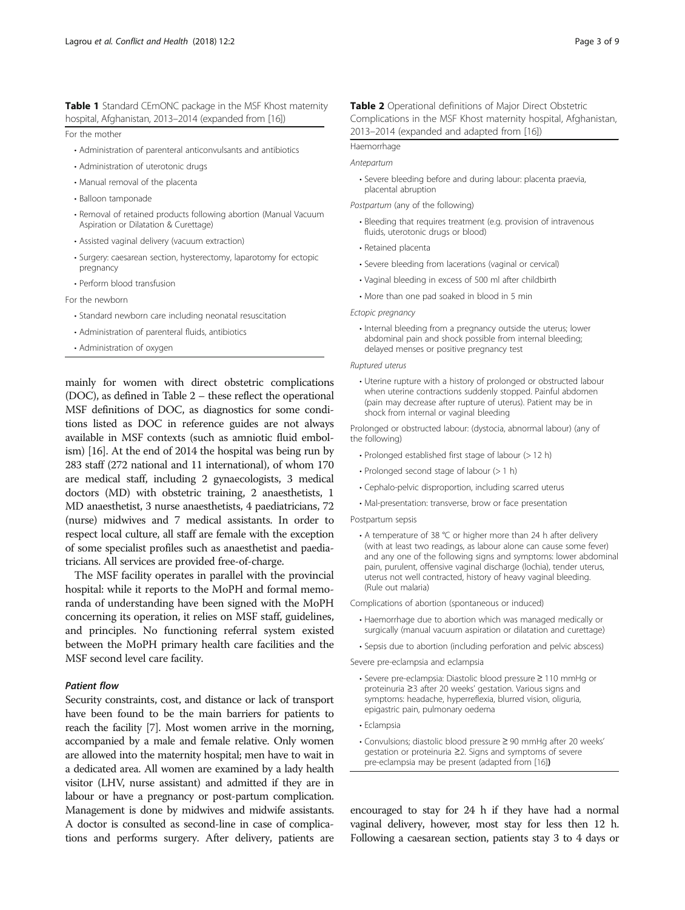## <span id="page-2-0"></span>Table 1 Standard CEmONC package in the MSF Khost maternity hospital, Afghanistan, 2013–2014 (expanded from [\[16\]](#page-8-0))

For the mother

- Administration of parenteral anticonvulsants and antibiotics
- Administration of uterotonic drugs
- Manual removal of the placenta
- Balloon tamponade
- Removal of retained products following abortion (Manual Vacuum Aspiration or Dilatation & Curettage)
- Assisted vaginal delivery (vacuum extraction)
- Surgery: caesarean section, hysterectomy, laparotomy for ectopic pregnancy
- Perform blood transfusion
- For the newborn
	- Standard newborn care including neonatal resuscitation
	- Administration of parenteral fluids, antibiotics
	- Administration of oxygen

mainly for women with direct obstetric complications (DOC), as defined in Table 2 – these reflect the operational MSF definitions of DOC, as diagnostics for some conditions listed as DOC in reference guides are not always available in MSF contexts (such as amniotic fluid embolism) [[16](#page-8-0)]. At the end of 2014 the hospital was being run by 283 staff (272 national and 11 international), of whom 170 are medical staff, including 2 gynaecologists, 3 medical doctors (MD) with obstetric training, 2 anaesthetists, 1 MD anaesthetist, 3 nurse anaesthetists, 4 paediatricians, 72 (nurse) midwives and 7 medical assistants. In order to respect local culture, all staff are female with the exception of some specialist profiles such as anaesthetist and paediatricians. All services are provided free-of-charge.

The MSF facility operates in parallel with the provincial hospital: while it reports to the MoPH and formal memoranda of understanding have been signed with the MoPH concerning its operation, it relies on MSF staff, guidelines, and principles. No functioning referral system existed between the MoPH primary health care facilities and the MSF second level care facility.

#### Patient flow

Security constraints, cost, and distance or lack of transport have been found to be the main barriers for patients to reach the facility [\[7\]](#page-8-0). Most women arrive in the morning, accompanied by a male and female relative. Only women are allowed into the maternity hospital; men have to wait in a dedicated area. All women are examined by a lady health visitor (LHV, nurse assistant) and admitted if they are in labour or have a pregnancy or post-partum complication. Management is done by midwives and midwife assistants. A doctor is consulted as second-line in case of complications and performs surgery. After delivery, patients are

## Table 2 Operational definitions of Major Direct Obstetric Complications in the MSF Khost maternity hospital, Afghanistan, 2013–2014 (expanded and adapted from [\[16\]](#page-8-0))

#### Haemorrhage

Antepartum

- Severe bleeding before and during labour: placenta praevia, placental abruption
- Postpartum (any of the following)
	- Bleeding that requires treatment (e.g. provision of intravenous fluids, uterotonic drugs or blood)
	- Retained placenta
	- Severe bleeding from lacerations (vaginal or cervical)
	- Vaginal bleeding in excess of 500 ml after childbirth
	- More than one pad soaked in blood in 5 min

#### Ectopic pregnancy

• Internal bleeding from a pregnancy outside the uterus; lower abdominal pain and shock possible from internal bleeding; delayed menses or positive pregnancy test

#### Ruptured uterus

• Uterine rupture with a history of prolonged or obstructed labour when uterine contractions suddenly stopped. Painful abdomen (pain may decrease after rupture of uterus). Patient may be in shock from internal or vaginal bleeding

Prolonged or obstructed labour: (dystocia, abnormal labour) (any of the following)

- Prolonged established first stage of labour (> 12 h)
- Prolonged second stage of labour (> 1 h)
- Cephalo-pelvic disproportion, including scarred uterus
- Mal-presentation: transverse, brow or face presentation

#### Postpartum sepsis

• A temperature of 38 °C or higher more than 24 h after delivery (with at least two readings, as labour alone can cause some fever) and any one of the following signs and symptoms: lower abdominal pain, purulent, offensive vaginal discharge (lochia), tender uterus, uterus not well contracted, history of heavy vaginal bleeding. (Rule out malaria)

Complications of abortion (spontaneous or induced)

- Haemorrhage due to abortion which was managed medically or surgically (manual vacuum aspiration or dilatation and curettage)
- Sepsis due to abortion (including perforation and pelvic abscess)

Severe pre-eclampsia and eclampsia

- Severe pre-eclampsia: Diastolic blood pressure ≥ 110 mmHg or proteinuria ≥3 after 20 weeks' gestation. Various signs and symptoms: headache, hyperreflexia, blurred vision, oliguria, epigastric pain, pulmonary oedema
- Eclampsia
- Convulsions; diastolic blood pressure ≥ 90 mmHg after 20 weeks' gestation or proteinuria ≥2. Signs and symptoms of severe pre-eclampsia may be present (adapted from [[16](#page-8-0)])

encouraged to stay for 24 h if they have had a normal vaginal delivery, however, most stay for less then 12 h. Following a caesarean section, patients stay 3 to 4 days or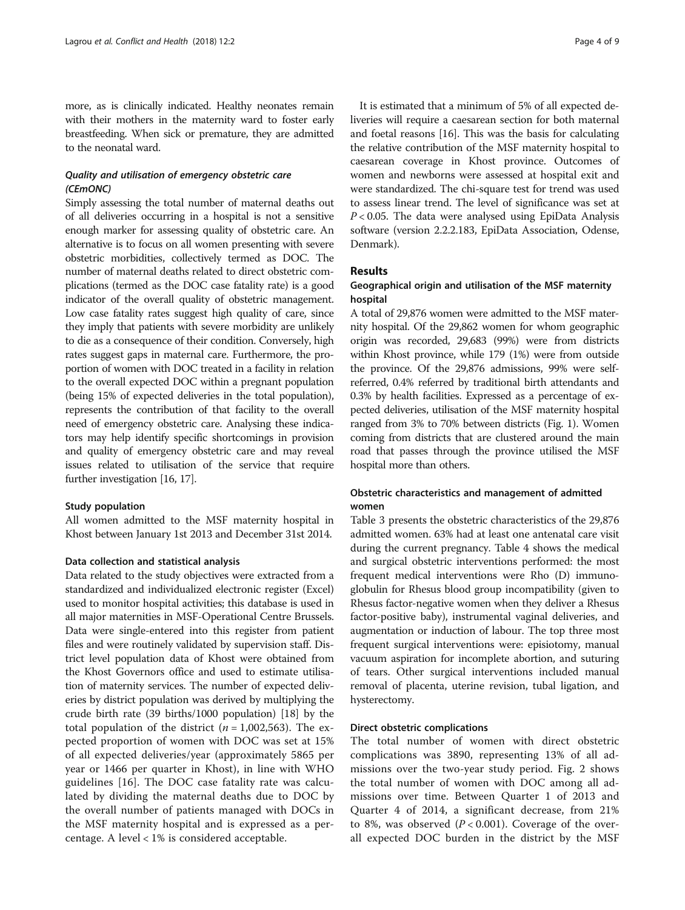more, as is clinically indicated. Healthy neonates remain with their mothers in the maternity ward to foster early breastfeeding. When sick or premature, they are admitted to the neonatal ward.

## Quality and utilisation of emergency obstetric care (CEmONC)

Simply assessing the total number of maternal deaths out of all deliveries occurring in a hospital is not a sensitive enough marker for assessing quality of obstetric care. An alternative is to focus on all women presenting with severe obstetric morbidities, collectively termed as DOC. The number of maternal deaths related to direct obstetric complications (termed as the DOC case fatality rate) is a good indicator of the overall quality of obstetric management. Low case fatality rates suggest high quality of care, since they imply that patients with severe morbidity are unlikely to die as a consequence of their condition. Conversely, high rates suggest gaps in maternal care. Furthermore, the proportion of women with DOC treated in a facility in relation to the overall expected DOC within a pregnant population (being 15% of expected deliveries in the total population), represents the contribution of that facility to the overall need of emergency obstetric care. Analysing these indicators may help identify specific shortcomings in provision and quality of emergency obstetric care and may reveal issues related to utilisation of the service that require further investigation [\[16, 17\]](#page-8-0).

#### Study population

All women admitted to the MSF maternity hospital in Khost between January 1st 2013 and December 31st 2014.

#### Data collection and statistical analysis

Data related to the study objectives were extracted from a standardized and individualized electronic register (Excel) used to monitor hospital activities; this database is used in all major maternities in MSF-Operational Centre Brussels. Data were single-entered into this register from patient files and were routinely validated by supervision staff. District level population data of Khost were obtained from the Khost Governors office and used to estimate utilisation of maternity services. The number of expected deliveries by district population was derived by multiplying the crude birth rate (39 births/1000 population) [\[18\]](#page-8-0) by the total population of the district ( $n = 1,002,563$ ). The expected proportion of women with DOC was set at 15% of all expected deliveries/year (approximately 5865 per year or 1466 per quarter in Khost), in line with WHO guidelines [[16\]](#page-8-0). The DOC case fatality rate was calculated by dividing the maternal deaths due to DOC by the overall number of patients managed with DOCs in the MSF maternity hospital and is expressed as a percentage. A level < 1% is considered acceptable.

It is estimated that a minimum of 5% of all expected deliveries will require a caesarean section for both maternal and foetal reasons [[16](#page-8-0)]. This was the basis for calculating the relative contribution of the MSF maternity hospital to caesarean coverage in Khost province. Outcomes of women and newborns were assessed at hospital exit and were standardized. The chi-square test for trend was used to assess linear trend. The level of significance was set at  $P < 0.05$ . The data were analysed using EpiData Analysis software (version 2.2.2.183, EpiData Association, Odense, Denmark).

#### Results

## Geographical origin and utilisation of the MSF maternity hospital

A total of 29,876 women were admitted to the MSF maternity hospital. Of the 29,862 women for whom geographic origin was recorded, 29,683 (99%) were from districts within Khost province, while 179 (1%) were from outside the province. Of the 29,876 admissions, 99% were selfreferred, 0.4% referred by traditional birth attendants and 0.3% by health facilities. Expressed as a percentage of expected deliveries, utilisation of the MSF maternity hospital ranged from 3% to 70% between districts (Fig. [1\)](#page-4-0). Women coming from districts that are clustered around the main road that passes through the province utilised the MSF hospital more than others.

## Obstetric characteristics and management of admitted women

Table [3](#page-5-0) presents the obstetric characteristics of the 29,876 admitted women. 63% had at least one antenatal care visit during the current pregnancy. Table [4](#page-5-0) shows the medical and surgical obstetric interventions performed: the most frequent medical interventions were Rho (D) immunoglobulin for Rhesus blood group incompatibility (given to Rhesus factor-negative women when they deliver a Rhesus factor-positive baby), instrumental vaginal deliveries, and augmentation or induction of labour. The top three most frequent surgical interventions were: episiotomy, manual vacuum aspiration for incomplete abortion, and suturing of tears. Other surgical interventions included manual removal of placenta, uterine revision, tubal ligation, and hysterectomy.

## Direct obstetric complications

The total number of women with direct obstetric complications was 3890, representing 13% of all admissions over the two-year study period. Fig. [2](#page-6-0) shows the total number of women with DOC among all admissions over time. Between Quarter 1 of 2013 and Quarter 4 of 2014, a significant decrease, from 21% to 8%, was observed  $(P < 0.001)$ . Coverage of the overall expected DOC burden in the district by the MSF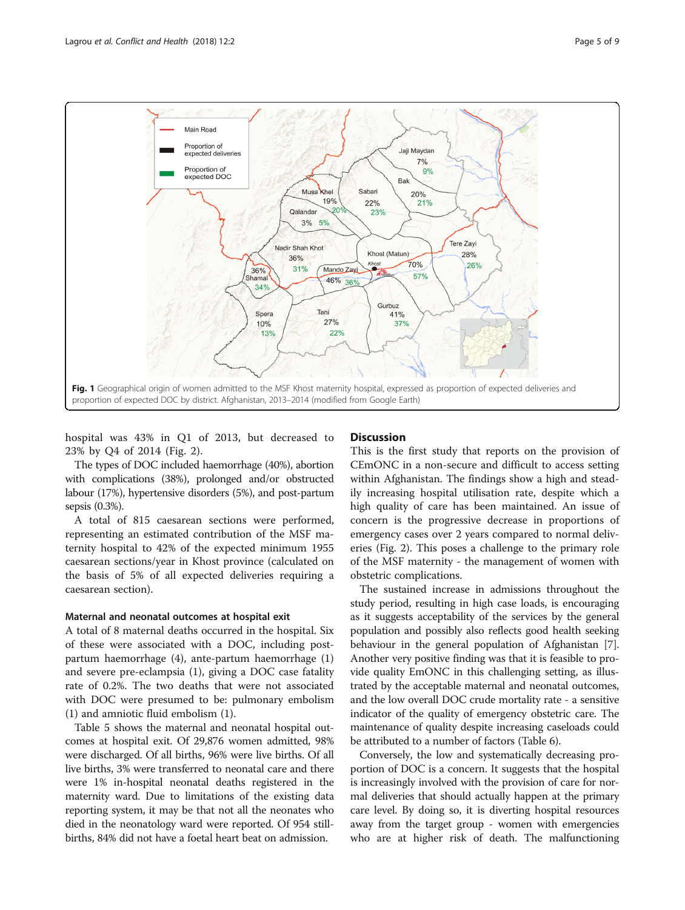<span id="page-4-0"></span>

hospital was 43% in Q1 of 2013, but decreased to 23% by Q4 of 2014 (Fig. [2\)](#page-6-0).

The types of DOC included haemorrhage (40%), abortion with complications (38%), prolonged and/or obstructed labour (17%), hypertensive disorders (5%), and post-partum sepsis (0.3%).

A total of 815 caesarean sections were performed, representing an estimated contribution of the MSF maternity hospital to 42% of the expected minimum 1955 caesarean sections/year in Khost province (calculated on the basis of 5% of all expected deliveries requiring a caesarean section).

## Maternal and neonatal outcomes at hospital exit

A total of 8 maternal deaths occurred in the hospital. Six of these were associated with a DOC, including postpartum haemorrhage (4), ante-partum haemorrhage (1) and severe pre-eclampsia (1), giving a DOC case fatality rate of 0.2%. The two deaths that were not associated with DOC were presumed to be: pulmonary embolism (1) and amniotic fluid embolism (1).

Table [5](#page-6-0) shows the maternal and neonatal hospital outcomes at hospital exit. Of 29,876 women admitted, 98% were discharged. Of all births, 96% were live births. Of all live births, 3% were transferred to neonatal care and there were 1% in-hospital neonatal deaths registered in the maternity ward. Due to limitations of the existing data reporting system, it may be that not all the neonates who died in the neonatology ward were reported. Of 954 stillbirths, 84% did not have a foetal heart beat on admission.

### **Discussion**

This is the first study that reports on the provision of CEmONC in a non-secure and difficult to access setting within Afghanistan. The findings show a high and steadily increasing hospital utilisation rate, despite which a high quality of care has been maintained. An issue of concern is the progressive decrease in proportions of emergency cases over 2 years compared to normal deliveries (Fig. [2](#page-6-0)). This poses a challenge to the primary role of the MSF maternity - the management of women with obstetric complications.

The sustained increase in admissions throughout the study period, resulting in high case loads, is encouraging as it suggests acceptability of the services by the general population and possibly also reflects good health seeking behaviour in the general population of Afghanistan [[7](#page-8-0)]. Another very positive finding was that it is feasible to provide quality EmONC in this challenging setting, as illustrated by the acceptable maternal and neonatal outcomes, and the low overall DOC crude mortality rate - a sensitive indicator of the quality of emergency obstetric care. The maintenance of quality despite increasing caseloads could be attributed to a number of factors (Table [6\)](#page-6-0).

Conversely, the low and systematically decreasing proportion of DOC is a concern. It suggests that the hospital is increasingly involved with the provision of care for normal deliveries that should actually happen at the primary care level. By doing so, it is diverting hospital resources away from the target group - women with emergencies who are at higher risk of death. The malfunctioning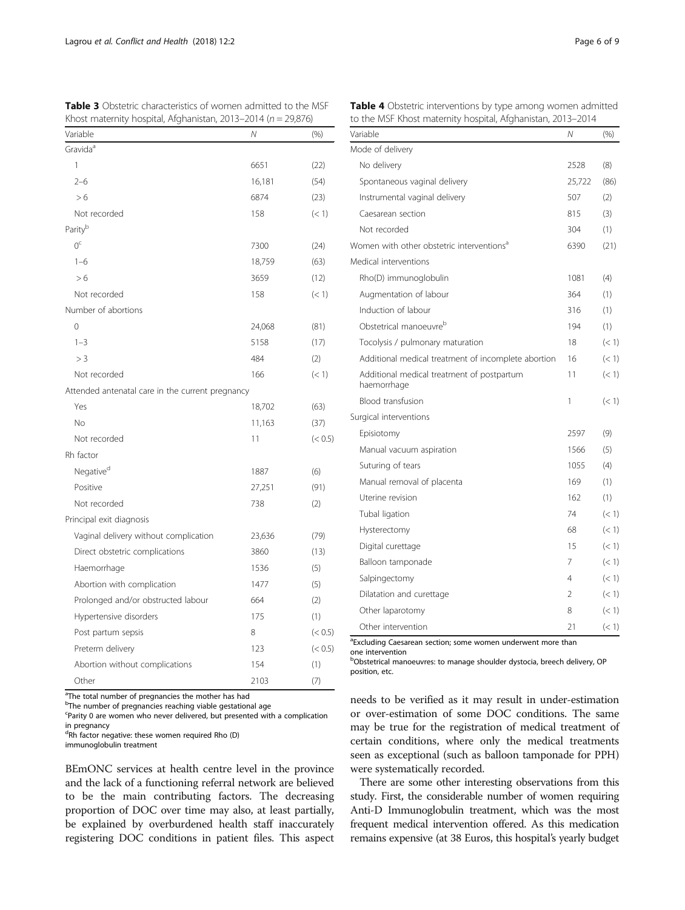| Khost maternity hospital, Afghanistan, 2013-2014 ( $n = 29,876$ ) |        |         |
|-------------------------------------------------------------------|--------|---------|
| Variable                                                          | N      | $(\% )$ |
| Gravida <sup>a</sup>                                              |        |         |
| 1                                                                 | 6651   | (22)    |
| $2 - 6$                                                           | 16,181 | (54)    |
| > 6                                                               | 6874   | (23)    |
| Not recorded                                                      | 158    | (< 1)   |
| Parityb                                                           |        |         |
| 0 <sup>c</sup>                                                    | 7300   | (24)    |
| $1 - 6$                                                           | 18,759 | (63)    |
| > 6                                                               | 3659   | (12)    |
| Not recorded                                                      | 158    | (< 1)   |
| Number of abortions                                               |        |         |
| 0                                                                 | 24,068 | (81)    |
| $1 - 3$                                                           | 5158   | (17)    |
| > 3                                                               | 484    | (2)     |
| Not recorded                                                      | 166    | (< 1)   |
| Attended antenatal care in the current pregnancy                  |        |         |
| Yes                                                               | 18,702 | (63)    |
| No                                                                | 11,163 | (37)    |
| Not recorded                                                      | 11     | (< 0.5) |
| Rh factor                                                         |        |         |
| Negative <sup>d</sup>                                             | 1887   | (6)     |
| Positive                                                          | 27,251 | (91)    |
| Not recorded                                                      | 738    | (2)     |
| Principal exit diagnosis                                          |        |         |
| Vaginal delivery without complication                             | 23,636 | (79)    |
| Direct obstetric complications                                    | 3860   | (13)    |
| Haemorrhage                                                       | 1536   | (5)     |
| Abortion with complication                                        | 1477   | (5)     |
| Prolonged and/or obstructed labour                                | 664    | (2)     |
| Hypertensive disorders                                            | 175    | (1)     |
| Post partum sepsis                                                | 8      | (< 0.5) |
| Preterm delivery                                                  | 123    | (< 0.5) |
| Abortion without complications                                    | 154    | (1)     |
| Other                                                             | 2103   | (7)     |

<span id="page-5-0"></span>Table 3 Obstetric characteristics of women admitted to the MSF

<sup>a</sup>The total number of pregnancies the mother has had

<sup>b</sup>The number of pregnancies reaching viable gestational age

Parity 0 are women who never delivered, but presented with a complication in pregnancy

<sup>d</sup>Rh factor negative: these women required Rho (D)

immunoglobulin treatment

BEmONC services at health centre level in the province and the lack of a functioning referral network are believed to be the main contributing factors. The decreasing proportion of DOC over time may also, at least partially, be explained by overburdened health staff inaccurately registering DOC conditions in patient files. This aspect

Table 4 Obstetric interventions by type among women admitted to the MSF Khost maternity hospital, Afghanistan, 2013–2014

| Variable                                                  | Ν      | (%)   |
|-----------------------------------------------------------|--------|-------|
| Mode of delivery                                          |        |       |
| No delivery                                               | 2528   | (8)   |
| Spontaneous vaginal delivery                              | 25,722 | (86)  |
| Instrumental vaginal delivery                             | 507    | (2)   |
| Caesarean section                                         | 815    | (3)   |
| Not recorded                                              | 304    | (1)   |
| Women with other obstetric interventions <sup>a</sup>     | 6390   | (21)  |
| Medical interventions                                     |        |       |
| Rho(D) immunoglobulin                                     | 1081   | (4)   |
| Augmentation of labour                                    | 364    | (1)   |
| Induction of labour                                       | 316    | (1)   |
| Obstetrical manoeuvre <sup>b</sup>                        | 194    | (1)   |
| Tocolysis / pulmonary maturation                          | 18     | (< 1) |
| Additional medical treatment of incomplete abortion       | 16     | (< 1) |
| Additional medical treatment of postpartum<br>haemorrhage | 11     | (< 1) |
| <b>Blood transfusion</b>                                  | 1      | (< 1) |
| Surgical interventions                                    |        |       |
| Episiotomy                                                | 2597   | (9)   |
| Manual vacuum aspiration                                  | 1566   | (5)   |
| Suturing of tears                                         | 1055   | (4)   |
| Manual removal of placenta                                | 169    | (1)   |
| Uterine revision                                          | 162    | (1)   |
| Tubal ligation                                            | 74     | (< 1) |
| Hysterectomy                                              | 68     | (< 1) |
| Digital curettage                                         | 15     | (< 1) |
| Balloon tamponade                                         | 7      | (< 1) |
| Salpingectomy                                             | 4      | (< 1) |
| Dilatation and curettage                                  | 2      | (< 1) |
| Other laparotomy                                          | 8      | (< 1) |
| Other intervention                                        | 21     | (< 1) |

<sup>a</sup> Excluding Caesarean section; some women underwent more than

one intervention

**bObstetrical manoeuvres: to manage shoulder dystocia, breech delivery, OP** position, etc.

needs to be verified as it may result in under-estimation or over-estimation of some DOC conditions. The same may be true for the registration of medical treatment of certain conditions, where only the medical treatments seen as exceptional (such as balloon tamponade for PPH) were systematically recorded.

There are some other interesting observations from this study. First, the considerable number of women requiring Anti-D Immunoglobulin treatment, which was the most frequent medical intervention offered. As this medication remains expensive (at 38 Euros, this hospital's yearly budget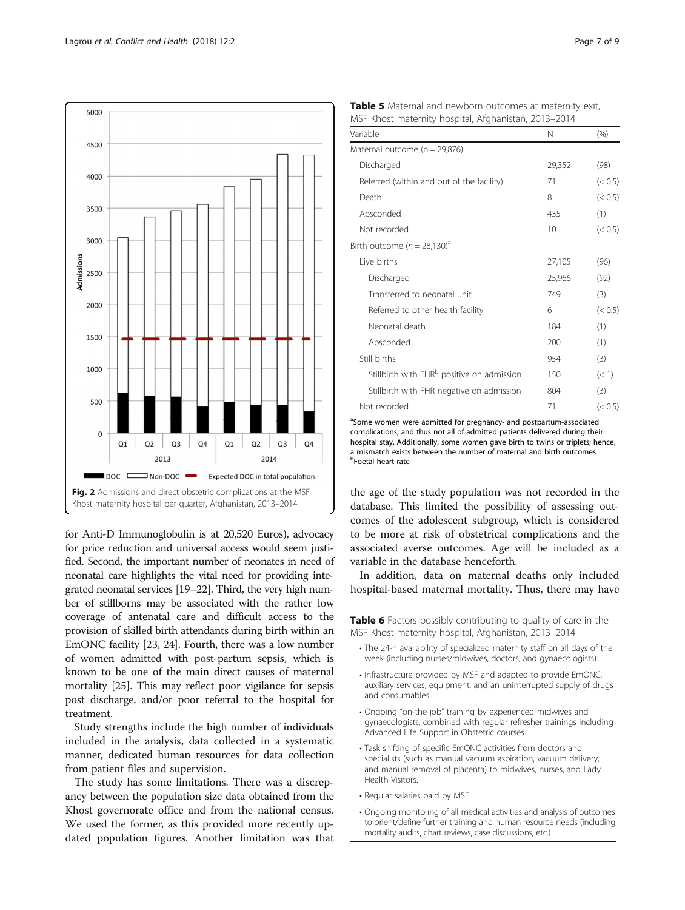<span id="page-6-0"></span>5000

4500

4000

3500

3000

2000

1500

1000

500

 $\Omega$ 

 $O<sub>1</sub>$ 

 $O<sub>2</sub>$ 

 $\blacksquare$  DOC  $\blacksquare$  Non-DOC  $\blacksquare$ 

2013

kdmissions 2500



Fig. 2 Admissions and direct obstetric complications at the MSF Khost maternity hospital per quarter, Afghanistan, 2013–2014

 $O<sub>4</sub>$ 

 $O<sub>1</sub>$ 

 $O<sub>2</sub>$ 

 $O<sub>3</sub>$ 

2014

Expected DOC in total population

 $Q<sub>4</sub>$ 

 $O<sub>3</sub>$ 

Study strengths include the high number of individuals included in the analysis, data collected in a systematic manner, dedicated human resources for data collection from patient files and supervision.

The study has some limitations. There was a discrepancy between the population size data obtained from the Khost governorate office and from the national census. We used the former, as this provided more recently updated population figures. Another limitation was that

| <b>Table 5</b> Maternal and newborn outcomes at maternity exit, |  |
|-----------------------------------------------------------------|--|
| MSF Khost maternity hospital, Afghanistan, 2013–2014            |  |

| Variable                                               | N      | (%)     |
|--------------------------------------------------------|--------|---------|
| Maternal outcome ( $n = 29,876$ )                      |        |         |
| Discharged                                             | 29,352 | (98)    |
| Referred (within and out of the facility)              | 71     | (< 0.5) |
| Death                                                  | 8      | (< 0.5) |
| Absconded                                              | 435    | (1)     |
| Not recorded                                           | 10     | (< 0.5) |
| Birth outcome $(n = 28,130)^a$                         |        |         |
| Live births                                            | 27,105 | (96)    |
| Discharged                                             | 25,966 | (92)    |
| Transferred to neonatal unit                           | 749    | (3)     |
| Referred to other health facility                      | 6      | (< 0.5) |
| Neonatal death                                         | 184    | (1)     |
| Absconded                                              | 200    | (1)     |
| Still births                                           | 954    | (3)     |
| Stillbirth with FHR <sup>b</sup> positive on admission | 150    | (< 1)   |
| Stillbirth with FHR negative on admission              | 804    | (3)     |
| Not recorded                                           | 71     | (< 0.5) |

<sup>a</sup>Some women were admitted for pregnancy- and postpartum-associated complications, and thus not all of admitted patients delivered during their hospital stay. Additionally, some women gave birth to twins or triplets; hence, a mismatch exists between the number of maternal and birth outcomes **b**Foetal heart rate

the age of the study population was not recorded in the database. This limited the possibility of assessing outcomes of the adolescent subgroup, which is considered to be more at risk of obstetrical complications and the associated averse outcomes. Age will be included as a variable in the database henceforth.

In addition, data on maternal deaths only included hospital-based maternal mortality. Thus, there may have

Table 6 Factors possibly contributing to quality of care in the MSF Khost maternity hospital, Afghanistan, 2013–2014

- The 24-h availability of specialized maternity staff on all days of the week (including nurses/midwives, doctors, and gynaecologists).
- Infrastructure provided by MSF and adapted to provide EmONC, auxiliary services, equipment, and an uninterrupted supply of drugs and consumables.
- Ongoing "on-the-job" training by experienced midwives and gynaecologists, combined with regular refresher trainings including Advanced Life Support in Obstetric courses.
- Task shifting of specific EmONC activities from doctors and specialists (such as manual vacuum aspiration, vacuum delivery, and manual removal of placenta) to midwives, nurses, and Lady Health Visitors.
- Regular salaries paid by MSF
- Ongoing monitoring of all medical activities and analysis of outcomes to orient/define further training and human resource needs (including mortality audits, chart reviews, case discussions, etc.)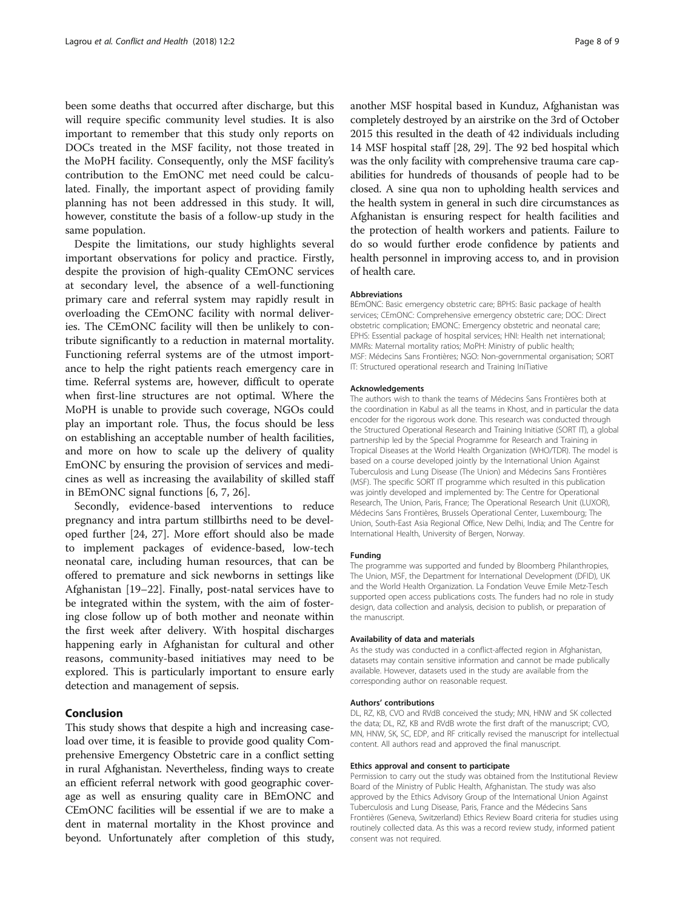been some deaths that occurred after discharge, but this will require specific community level studies. It is also important to remember that this study only reports on DOCs treated in the MSF facility, not those treated in the MoPH facility. Consequently, only the MSF facility's contribution to the EmONC met need could be calculated. Finally, the important aspect of providing family planning has not been addressed in this study. It will, however, constitute the basis of a follow-up study in the same population.

Despite the limitations, our study highlights several important observations for policy and practice. Firstly, despite the provision of high-quality CEmONC services at secondary level, the absence of a well-functioning primary care and referral system may rapidly result in overloading the CEmONC facility with normal deliveries. The CEmONC facility will then be unlikely to contribute significantly to a reduction in maternal mortality. Functioning referral systems are of the utmost importance to help the right patients reach emergency care in time. Referral systems are, however, difficult to operate when first-line structures are not optimal. Where the MoPH is unable to provide such coverage, NGOs could play an important role. Thus, the focus should be less on establishing an acceptable number of health facilities, and more on how to scale up the delivery of quality EmONC by ensuring the provision of services and medicines as well as increasing the availability of skilled staff in BEmONC signal functions [\[6](#page-8-0), [7](#page-8-0), [26](#page-8-0)].

Secondly, evidence-based interventions to reduce pregnancy and intra partum stillbirths need to be developed further [\[24](#page-8-0), [27\]](#page-8-0). More effort should also be made to implement packages of evidence-based, low-tech neonatal care, including human resources, that can be offered to premature and sick newborns in settings like Afghanistan [[19](#page-8-0)–[22](#page-8-0)]. Finally, post-natal services have to be integrated within the system, with the aim of fostering close follow up of both mother and neonate within the first week after delivery. With hospital discharges happening early in Afghanistan for cultural and other reasons, community-based initiatives may need to be explored. This is particularly important to ensure early detection and management of sepsis.

## Conclusion

This study shows that despite a high and increasing caseload over time, it is feasible to provide good quality Comprehensive Emergency Obstetric care in a conflict setting in rural Afghanistan. Nevertheless, finding ways to create an efficient referral network with good geographic coverage as well as ensuring quality care in BEmONC and CEmONC facilities will be essential if we are to make a dent in maternal mortality in the Khost province and beyond. Unfortunately after completion of this study,

another MSF hospital based in Kunduz, Afghanistan was completely destroyed by an airstrike on the 3rd of October 2015 this resulted in the death of 42 individuals including 14 MSF hospital staff [\[28, 29\]](#page-8-0). The 92 bed hospital which was the only facility with comprehensive trauma care capabilities for hundreds of thousands of people had to be closed. A sine qua non to upholding health services and the health system in general in such dire circumstances as Afghanistan is ensuring respect for health facilities and the protection of health workers and patients. Failure to do so would further erode confidence by patients and health personnel in improving access to, and in provision of health care.

#### Abbreviations

BEmONC: Basic emergency obstetric care; BPHS: Basic package of health services; CEmONC: Comprehensive emergency obstetric care; DOC: Direct obstetric complication; EMONC: Emergency obstetric and neonatal care; EPHS: Essential package of hospital services; HNI: Health net international; MMRs: Maternal mortality ratios; MoPH: Ministry of public health; MSF: Médecins Sans Frontières; NGO: Non-governmental organisation; SORT IT: Structured operational research and Training IniTiative

#### Acknowledgements

The authors wish to thank the teams of Médecins Sans Frontières both at the coordination in Kabul as all the teams in Khost, and in particular the data encoder for the rigorous work done. This research was conducted through the Structured Operational Research and Training Initiative (SORT IT), a global partnership led by the Special Programme for Research and Training in Tropical Diseases at the World Health Organization (WHO/TDR). The model is based on a course developed jointly by the International Union Against Tuberculosis and Lung Disease (The Union) and Médecins Sans Frontières (MSF). The specific SORT IT programme which resulted in this publication was jointly developed and implemented by: The Centre for Operational Research, The Union, Paris, France; The Operational Research Unit (LUXOR), Médecins Sans Frontières, Brussels Operational Center, Luxembourg; The Union, South-East Asia Regional Office, New Delhi, India; and The Centre for International Health, University of Bergen, Norway.

#### Funding

The programme was supported and funded by Bloomberg Philanthropies, The Union, MSF, the Department for International Development (DFID), UK and the World Health Organization. La Fondation Veuve Emile Metz-Tesch supported open access publications costs. The funders had no role in study design, data collection and analysis, decision to publish, or preparation of the manuscript.

#### Availability of data and materials

As the study was conducted in a conflict-affected region in Afghanistan, datasets may contain sensitive information and cannot be made publically available. However, datasets used in the study are available from the corresponding author on reasonable request.

#### Authors' contributions

DL, RZ, KB, CVO and RVdB conceived the study; MN, HNW and SK collected the data; DL, RZ, KB and RVdB wrote the first draft of the manuscript; CVO, MN, HNW, SK, SC, EDP, and RF critically revised the manuscript for intellectual content. All authors read and approved the final manuscript.

#### Ethics approval and consent to participate

Permission to carry out the study was obtained from the Institutional Review Board of the Ministry of Public Health, Afghanistan. The study was also approved by the Ethics Advisory Group of the International Union Against Tuberculosis and Lung Disease, Paris, France and the Médecins Sans Frontières (Geneva, Switzerland) Ethics Review Board criteria for studies using routinely collected data. As this was a record review study, informed patient consent was not required.